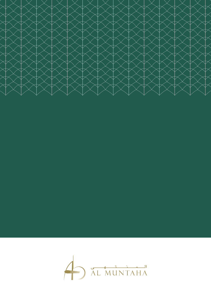

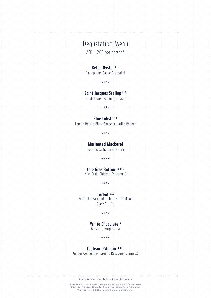# Degustation Menu

AED 1,200 per person\*

#### **Belon Oyster A, D**

Champagne Sauce,Broccolini

\*\*\*\*

## **Saint-Jacques Scallop N, D**

Cauliflower, Almond, Caviar

\*\*\*\*

#### **Blue Lobster D**

Lemon Beurre Blanc Sauce, Amarillo Pepper

\*\*\*\*

#### **Marinated Mackerel**

Green Gazpacho, Crispy Turnip

\*\*\*\*

# **Foie Gras Bottoni A, D, G**

King Crab, Chicken Consommé

\*\*\*\*

#### **Turbot D, A** Artichoke Barigoule, Shellfish Emulsion Black Truffle

\*\*\*\*

**White Chocolate D** Mustard, Gorgonzola

\*\*\*\*

## **Tableau D'Amour D, N, G**

Ginger Gel, Saffron Cream, Raspberry Cremeux

Degustation menu is available for the whole table only

All prices are in UAE Dirhams and inclusive of 10% Municipality fees, 7% service charge and Value Added Tax Indicated Dish is V-Vegetarian, N-Contains Nuts, G-Contains Gluten, D-Contains Dairy, A-Contains Alcohol \*Dishes not included in the half board package and are subject to an additional charge